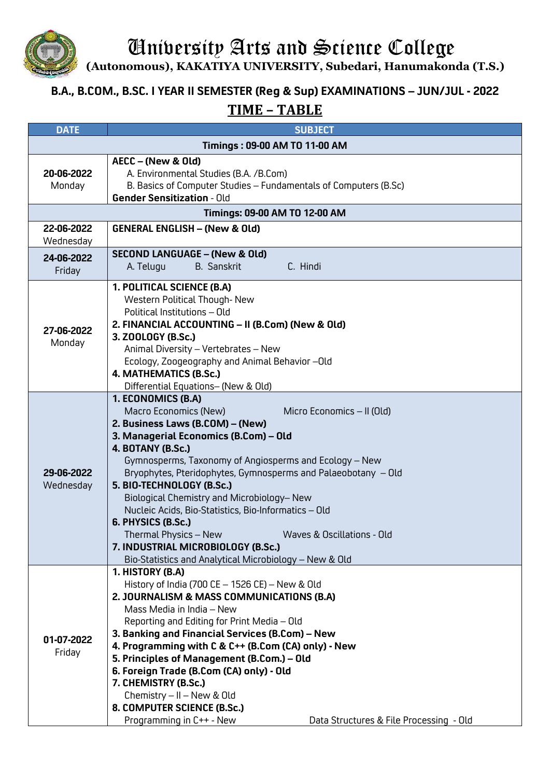

University Arts and Science College

**(Autonomous), KAKATIYA UNIVERSITY, Subedari, Hanumakonda (T.S.)**

## **B.A., B.COM., B.SC. I YEAR II SEMESTER (Reg & Sup) EXAMINATIONS – JUN/JUL - 2022 TIME – TABLE**

| <b>DATE</b>                   | <b>SUBJECT</b>                                                                                                                                                                                                                                                                                                                                                                                                                                                                                                                                                                                                        |  |
|-------------------------------|-----------------------------------------------------------------------------------------------------------------------------------------------------------------------------------------------------------------------------------------------------------------------------------------------------------------------------------------------------------------------------------------------------------------------------------------------------------------------------------------------------------------------------------------------------------------------------------------------------------------------|--|
| Timings: 09-00 AM TO 11-00 AM |                                                                                                                                                                                                                                                                                                                                                                                                                                                                                                                                                                                                                       |  |
| 20-06-2022<br>Monday          | AECC - (New & Old)<br>A. Environmental Studies (B.A. /B.Com)<br>B. Basics of Computer Studies - Fundamentals of Computers (B.Sc)<br><b>Gender Sensitization - Old</b>                                                                                                                                                                                                                                                                                                                                                                                                                                                 |  |
| Timings: 09-00 AM TO 12-00 AM |                                                                                                                                                                                                                                                                                                                                                                                                                                                                                                                                                                                                                       |  |
| 22-06-2022<br>Wednesday       | <b>GENERAL ENGLISH - (New &amp; Old)</b>                                                                                                                                                                                                                                                                                                                                                                                                                                                                                                                                                                              |  |
| 24-06-2022<br>Friday          | <b>SECOND LANGUAGE - (New &amp; Old)</b><br>A. Telugu<br>C. Hindi<br><b>B.</b> Sanskrit                                                                                                                                                                                                                                                                                                                                                                                                                                                                                                                               |  |
| 27-06-2022<br>Monday          | 1. POLITICAL SCIENCE (B.A)<br>Western Political Though-New<br>Political Institutions - Old<br>2. FINANCIAL ACCOUNTING - II (B.Com) (New & Old)<br>3. ZOOLOGY (B.Sc.)<br>Animal Diversity - Vertebrates - New<br>Ecology, Zoogeography and Animal Behavior -- Old<br>4. MATHEMATICS (B.Sc.)<br>Differential Equations- (New & Old)                                                                                                                                                                                                                                                                                     |  |
| 29-06-2022<br>Wednesday       | 1. ECONOMICS (B.A)<br>Macro Economics (New)<br>Micro Economics - II (Old)<br>2. Business Laws (B.COM) - (New)<br>3. Managerial Economics (B.Com) - Old<br>4. BOTANY (B.Sc.)<br>Gymnosperms, Taxonomy of Angiosperms and Ecology - New<br>Bryophytes, Pteridophytes, Gymnosperms and Palaeobotany - Old<br>5. BIO-TECHNOLOGY (B.Sc.)<br>Biological Chemistry and Microbiology-New<br>Nucleic Acids, Bio-Statistics, Bio-Informatics - Old<br>6. PHYSICS (B.Sc.)<br>Thermal Physics - New<br>Waves & Oscillations - Old<br>7. INDUSTRIAL MICROBIOLOGY (B.Sc.)<br>Bio-Statistics and Analytical Microbiology - New & Old |  |
| 01-07-2022<br>Friday          | 1. HISTORY (B.A)<br>History of India (700 CE - 1526 CE) - New & Old<br>2. JOURNALISM & MASS COMMUNICATIONS (B.A)<br>Mass Media in India – New<br>Reporting and Editing for Print Media - Old<br>3. Banking and Financial Services (B.Com) - New<br>4. Programming with C & C++ (B.Com (CA) only) - New<br>5. Principles of Management (B.Com.) - Old<br>6. Foreign Trade (B.Com (CA) only) - Old<br>7. CHEMISTRY (B.Sc.)<br>Chemistry - II - New & Old<br>8. COMPUTER SCIENCE (B.Sc.)<br>Programming in C++ - New<br>Data Structures & File Processing - Old                                                          |  |